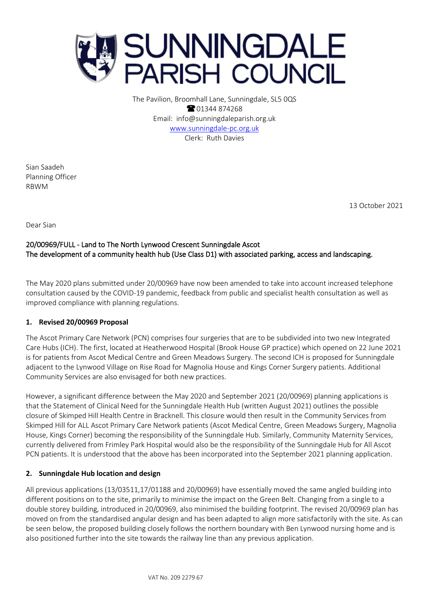

The Pavilion, Broomhall Lane, Sunningdale, SL5 0QS **8** 01344 874268 Email: info@sunningdaleparish.org.uk [www.sunningdale-pc.org.uk](http://www.sunningdale-pc.org.uk/) Clerk: Ruth Davies

Sian Saadeh Planning Officer RBWM

13 October 2021

Dear Sian

# 20/00969/FULL - Land to The North Lynwood Crescent Sunningdale Ascot The development of a community health hub (Use Class D1) with associated parking, access and landscaping.

The May 2020 plans submitted under 20/00969 have now been amended to take into account increased telephone consultation caused by the COVID-19 pandemic, feedback from public and specialist health consultation as well as improved compliance with planning regulations.

## **1. Revised 20/00969 Proposal**

The Ascot Primary Care Network (PCN) comprises four surgeries that are to be subdivided into two new Integrated Care Hubs (ICH). The first, located at Heatherwood Hospital (Brook House GP practice) which opened on 22 June 2021 is for patients from Ascot Medical Centre and Green Meadows Surgery. The second ICH is proposed for Sunningdale adjacent to the Lynwood Village on Rise Road for Magnolia House and Kings Corner Surgery patients. Additional Community Services are also envisaged for both new practices.

However, a significant difference between the May 2020 and September 2021 (20/00969) planning applications is that the Statement of Clinical Need for the Sunningdale Health Hub (written August 2021) outlines the possible closure of Skimped Hill Health Centre in Bracknell. This closure would then result in the Community Services from Skimped Hill for ALL Ascot Primary Care Network patients (Ascot Medical Centre, Green Meadows Surgery, Magnolia House, Kings Corner) becoming the responsibility of the Sunningdale Hub. Similarly, Community Maternity Services, currently delivered from Frimley Park Hospital would also be the responsibility of the Sunningdale Hub for All Ascot PCN patients. It is understood that the above has been incorporated into the September 2021 planning application.

## **2. Sunningdale Hub location and design**

All previous applications (13/03511,17/01188 and 20/00969) have essentially moved the same angled building into different positions on to the site, primarily to minimise the impact on the Green Belt. Changing from a single to a double storey building, introduced in 20/00969, also minimised the building footprint. The revised 20/00969 plan has moved on from the standardised angular design and has been adapted to align more satisfactorily with the site. As can be seen below, the proposed building closely follows the northern boundary with Ben Lynwood nursing home and is also positioned further into the site towards the railway line than any previous application.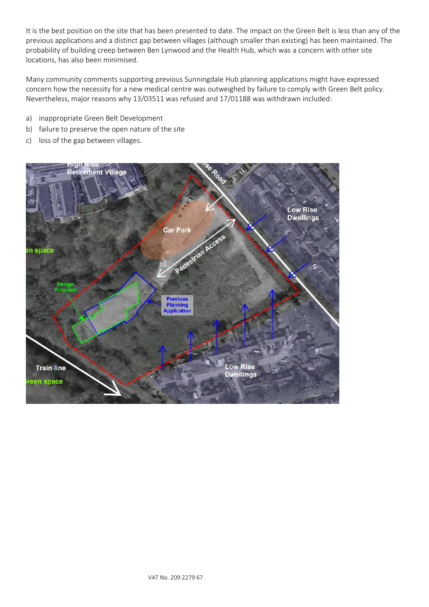It is the best position on the site that has been presented to date. The impact on the Green Belt is less than any of the previous applications and a distinct gap between villages (although smaller than existing) has been maintained. The probability of building creep between Ben Lynwood and the Health Hub, which was a concern with other site locations, has also been minimised.

Many community comments supporting previous Sunningdale Hub planning applications might have expressed concern how the necessity for a new medical centre was outweighed by failure to comply with Green Belt policy. Nevertheless, major reasons why 13/03511 was refused and 17/01188 was withdrawn included:

- a) inappropriate Green Belt Development
- b) failure to preserve the open nature of the site
- c) loss of the gap between villages.

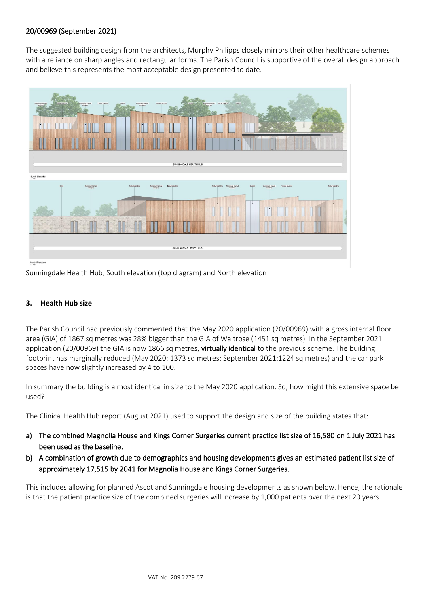## 20/00969 (September 2021)

The suggested building design from the architects, Murphy Philipps closely mirrors their other healthcare schemes with a reliance on sharp angles and rectangular forms. The Parish Council is supportive of the overall design approach and believe this represents the most acceptable design presented to date.



Sunningdale Health Hub, South elevation (top diagram) and North elevation

## **3. Health Hub size**

The Parish Council had previously commented that the May 2020 application (20/00969) with a gross internal floor area (GIA) of 1867 sq metres was 28% bigger than the GIA of Waitrose (1451 sq metres). In the September 2021 application (20/00969) the GIA is now 1866 sq metres, virtually identical to the previous scheme. The building footprint has marginally reduced (May 2020: 1373 sq metres; September 2021:1224 sq metres) and the car park spaces have now slightly increased by 4 to 100.

In summary the building is almost identical in size to the May 2020 application. So, how might this extensive space be used?

The Clinical Health Hub report (August 2021) used to support the design and size of the building states that:

- a) The combined Magnolia House and Kings Corner Surgeries current practice list size of 16,580 on 1 July 2021 has been used as the baseline.
- b) A combination of growth due to demographics and housing developments gives an estimated patient list size of approximately 17,515 by 2041 for Magnolia House and Kings Corner Surgeries.

This includes allowing for planned Ascot and Sunningdale housing developments as shown below. Hence, the rationale is that the patient practice size of the combined surgeries will increase by 1,000 patients over the next 20 years.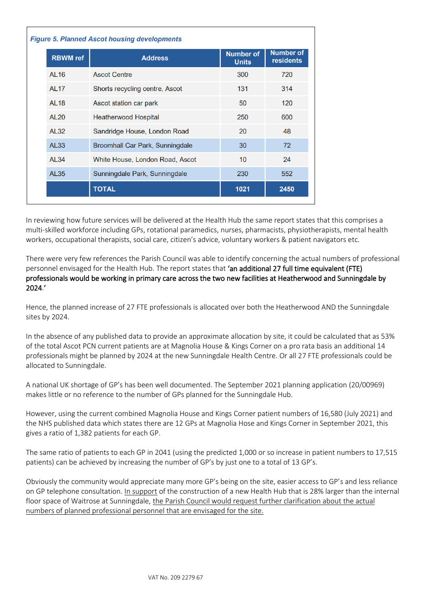| <b>Figure 5. Planned Ascot housing developments</b> |                                 |                                  |                                      |  |
|-----------------------------------------------------|---------------------------------|----------------------------------|--------------------------------------|--|
| <b>RBWM</b> ref                                     | <b>Address</b>                  | <b>Number of</b><br><b>Units</b> | <b>Number of</b><br><b>residents</b> |  |
| <b>AL16</b>                                         | <b>Ascot Centre</b>             | 300                              | 720                                  |  |
| <b>AL17</b>                                         | Shorts recycling centre, Ascot  | 131                              | 314                                  |  |
| <b>AL18</b>                                         | Ascot station car park          | 50                               | 120                                  |  |
| <b>AL20</b>                                         | <b>Heatherwood Hospital</b>     | 250                              | 600                                  |  |
| <b>AL32</b>                                         | Sandridge House, London Road    | 20                               | 48                                   |  |
| <b>AL33</b>                                         | Broomhall Car Park, Sunningdale | 30                               | 72                                   |  |
| <b>AL34</b>                                         | White House, London Road, Ascot | 10                               | 24                                   |  |
| <b>AL35</b>                                         | Sunningdale Park, Sunningdale   | 230                              | 552                                  |  |
|                                                     | <b>TOTAL</b>                    | 1021                             | 2450                                 |  |

In reviewing how future services will be delivered at the Health Hub the same report states that this comprises a multi-skilled workforce including GPs, rotational paramedics, nurses, pharmacists, physiotherapists, mental health workers, occupational therapists, social care, citizen's advice, voluntary workers & patient navigators etc.

There were very few references the Parish Council was able to identify concerning the actual numbers of professional personnel envisaged for the Health Hub. The report states that 'an additional 27 full time equivalent (FTE) professionals would be working in primary care across the two new facilities at Heatherwood and Sunningdale by 2024.'

Hence, the planned increase of 27 FTE professionals is allocated over both the Heatherwood AND the Sunningdale sites by 2024.

In the absence of any published data to provide an approximate allocation by site, it could be calculated that as 53% of the total Ascot PCN current patients are at Magnolia House & Kings Corner on a pro rata basis an additional 14 professionals might be planned by 2024 at the new Sunningdale Health Centre. Or all 27 FTE professionals could be allocated to Sunningdale.

A national UK shortage of GP's has been well documented. The September 2021 planning application (20/00969) makes little or no reference to the number of GPs planned for the Sunningdale Hub.

However, using the current combined Magnolia House and Kings Corner patient numbers of 16,580 (July 2021) and the NHS published data which states there are 12 GPs at Magnolia Hose and Kings Corner in September 2021, this gives a ratio of 1,382 patients for each GP.

The same ratio of patients to each GP in 2041 (using the predicted 1,000 or so increase in patient numbers to 17,515 patients) can be achieved by increasing the number of GP's by just one to a total of 13 GP's.

Obviously the community would appreciate many more GP's being on the site, easier access to GP's and less reliance on GP telephone consultation. In support of the construction of a new Health Hub that is 28% larger than the internal floor space of Waitrose at Sunningdale, the Parish Council would request further clarification about the actual numbers of planned professional personnel that are envisaged for the site.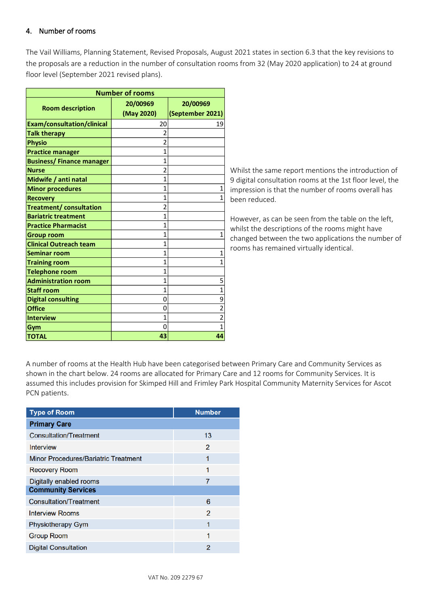## 4. Number of rooms

The Vail Williams, Planning Statement, Revised Proposals, August 2021 states in section 6.3 that the key revisions to the proposals are a reduction in the number of consultation rooms from 32 (May 2020 application) to 24 at ground floor level (September 2021 revised plans).

| <b>Number of rooms</b>            |                        |                              |  |  |
|-----------------------------------|------------------------|------------------------------|--|--|
| <b>Room description</b>           | 20/00969<br>(May 2020) | 20/00969<br>(September 2021) |  |  |
| <b>Exam/consultation/clinical</b> | 20                     | 19                           |  |  |
| <b>Talk therapy</b>               | $\overline{2}$         |                              |  |  |
| <b>Physio</b>                     | $\overline{2}$         |                              |  |  |
| <b>Practice manager</b>           | 1                      |                              |  |  |
| <b>Business/Finance manager</b>   | 1                      |                              |  |  |
| <b>Nurse</b>                      | $\overline{2}$         |                              |  |  |
| Midwife / anti natal              | 1                      |                              |  |  |
| <b>Minor procedures</b>           | 1                      | 1                            |  |  |
| <b>Recovery</b>                   | $\mathbf{1}$           | 1                            |  |  |
| <b>Treatment/consultation</b>     | 2                      |                              |  |  |
| <b>Bariatric treatment</b>        | 1                      |                              |  |  |
| <b>Practice Pharmacist</b>        | 1                      |                              |  |  |
| <b>Group room</b>                 | 1                      | 1                            |  |  |
| <b>Clinical Outreach team</b>     | 1                      |                              |  |  |
| <b>Seminar room</b>               | 1                      | 1                            |  |  |
| <b>Training room</b>              | 1                      | 1                            |  |  |
| <b>Telephone room</b>             | 1                      |                              |  |  |
| <b>Administration room</b>        | $\overline{1}$         | 5                            |  |  |
| <b>Staff room</b>                 | $\mathbf{1}$           | $\overline{1}$               |  |  |
| <b>Digital consulting</b>         | 0                      | 9                            |  |  |
| <b>Office</b>                     | 0                      | $\overline{2}$               |  |  |
| <b>Interview</b>                  | 1                      | $\overline{2}$               |  |  |
| Gym                               | 0                      | 1                            |  |  |
| <b>TOTAL</b>                      | 43                     | 44                           |  |  |

Whilst the same report mentions the introduction of 9 digital consultation rooms at the 1st floor level, the impression is that the number of rooms overall has been reduced.

However, as can be seen from the table on the left, whilst the descriptions of the rooms might have changed between the two applications the number of rooms has remained virtually identical.

A number of rooms at the Health Hub have been categorised between Primary Care and Community Services as shown in the chart below. 24 rooms are allocated for Primary Care and 12 rooms for Community Services. It is assumed this includes provision for Skimped Hill and Frimley Park Hospital Community Maternity Services for Ascot PCN patients.

| <b>Type of Room</b>                  | <b>Number</b> |  |  |  |
|--------------------------------------|---------------|--|--|--|
| <b>Primary Care</b>                  |               |  |  |  |
| <b>Consultation/Treatment</b>        | 13            |  |  |  |
| <b>Interview</b>                     | 2             |  |  |  |
| Minor Procedures/Bariatric Treatment | 1             |  |  |  |
| <b>Recovery Room</b>                 | 1             |  |  |  |
| Digitally enabled rooms              | 7             |  |  |  |
| <b>Community Services</b>            |               |  |  |  |
| <b>Consultation/Treatment</b>        | 6             |  |  |  |
| <b>Interview Rooms</b>               | 2             |  |  |  |
| <b>Physiotherapy Gym</b>             | 1             |  |  |  |
| <b>Group Room</b>                    | 1             |  |  |  |
| <b>Digital Consultation</b>          | 2             |  |  |  |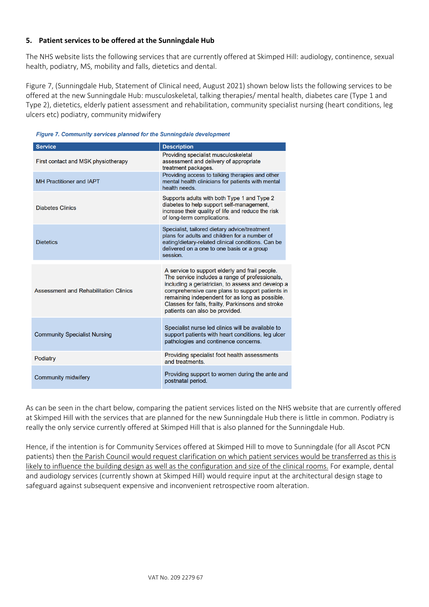#### **5. Patient services to be offered at the Sunningdale Hub**

The NHS website lists the following services that are currently offered at Skimped Hill: audiology, continence, sexual health, podiatry, MS, mobility and falls, dietetics and dental.

Figure 7, (Sunningdale Hub, Statement of Clinical need, August 2021) shown below lists the following services to be offered at the new Sunningdale Hub: musculoskeletal, talking therapies/ mental health, diabetes care (Type 1 and Type 2), dietetics, elderly patient assessment and rehabilitation, community specialist nursing (heart conditions, leg ulcers etc) podiatry, community midwifery



| <b>Service</b>                        | <b>Description</b>                                                                                                                                                                                                                                                                                                                                |  |
|---------------------------------------|---------------------------------------------------------------------------------------------------------------------------------------------------------------------------------------------------------------------------------------------------------------------------------------------------------------------------------------------------|--|
| First contact and MSK physiotherapy   | Providing specialist musculoskeletal<br>assessment and delivery of appropriate<br>treatment packages.                                                                                                                                                                                                                                             |  |
| <b>MH Practitioner and IAPT</b>       | Providing access to talking therapies and other<br>mental health clinicians for patients with mental<br>health needs.                                                                                                                                                                                                                             |  |
| <b>Diabetes Clinics</b>               | Supports adults with both Type 1 and Type 2<br>diabetes to help support self-management,<br>increase their quality of life and reduce the risk<br>of long-term complications.                                                                                                                                                                     |  |
| <b>Dietetics</b>                      | Specialist, tailored dietary advice/treatment<br>plans for adults and children for a number of<br>eating/dietary-related clinical conditions. Can be<br>delivered on a one to one basis or a group<br>session.                                                                                                                                    |  |
| Assessment and Rehabilitation Clinics | A service to support elderly and frail people.<br>The service includes a range of professionals,<br>including a geriatrician, to assess and develop a<br>comprehensive care plans to support patients in<br>remaining independent for as long as possible.<br>Classes for falls, frailty, Parkinsons and stroke<br>patients can also be provided. |  |
| <b>Community Specialist Nursing</b>   | Specialist nurse led clinics will be available to<br>support patients with heart conditions, leg ulcer<br>pathologies and continence concerns.                                                                                                                                                                                                    |  |
| Podiatry                              | Providing specialist foot health assessments<br>and treatments                                                                                                                                                                                                                                                                                    |  |
| <b>Community midwifery</b>            | Providing support to women during the ante and<br>postnatal period.                                                                                                                                                                                                                                                                               |  |

As can be seen in the chart below, comparing the patient services listed on the NHS website that are currently offered at Skimped Hill with the services that are planned for the new Sunningdale Hub there is little in common. Podiatry is really the only service currently offered at Skimped Hill that is also planned for the Sunningdale Hub.

Hence, if the intention is for Community Services offered at Skimped Hill to move to Sunningdale (for all Ascot PCN patients) then the Parish Council would request clarification on which patient services would be transferred as this is likely to influence the building design as well as the configuration and size of the clinical rooms. For example, dental and audiology services (currently shown at Skimped Hill) would require input at the architectural design stage to safeguard against subsequent expensive and inconvenient retrospective room alteration.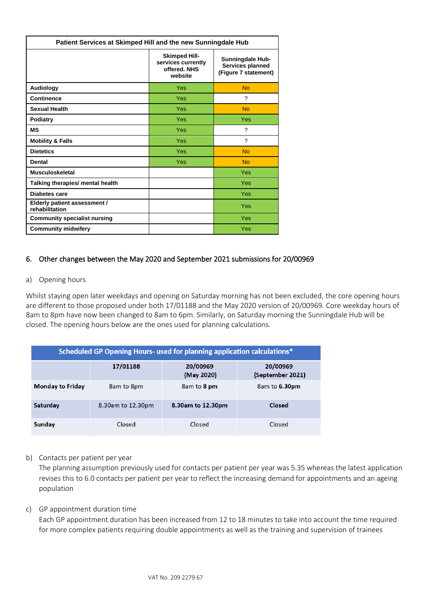| Patient Services at Skimped Hill and the new Sunningdale Hub |                                                                       |                                                                     |  |
|--------------------------------------------------------------|-----------------------------------------------------------------------|---------------------------------------------------------------------|--|
|                                                              | <b>Skimped Hill-</b><br>services currently<br>offered, NHS<br>website | <b>Sunningdale Hub-</b><br>Services planned<br>(Figure 7 statement) |  |
| Audiology                                                    | Yes                                                                   | No                                                                  |  |
| <b>Continence</b>                                            | Yes                                                                   | ?                                                                   |  |
| <b>Sexual Health</b>                                         | Yes                                                                   | <b>No</b>                                                           |  |
| <b>Podiatry</b>                                              | Yes                                                                   | Yes                                                                 |  |
| <b>MS</b>                                                    | Yes                                                                   | ?                                                                   |  |
| <b>Mobility &amp; Falls</b>                                  | Yes                                                                   | $\boldsymbol{\gamma}$                                               |  |
| <b>Dietetics</b>                                             | Yes                                                                   | <b>No</b>                                                           |  |
| <b>Dental</b>                                                | Yes                                                                   | <b>No</b>                                                           |  |
| <b>Musculoskeletal</b>                                       |                                                                       | Yes                                                                 |  |
| Talking therapies/ mental health                             |                                                                       | Yes                                                                 |  |
| Diabetes care                                                |                                                                       | Yes                                                                 |  |
| Elderly patient assessment /<br>rehabilitation               |                                                                       | Yes                                                                 |  |
| <b>Community specialist nursing</b>                          |                                                                       | Yes                                                                 |  |
| <b>Community midwifery</b>                                   |                                                                       | Yes                                                                 |  |

## 6. Other changes between the May 2020 and September 2021 submissions for 20/00969

#### a) Opening hours

Whilst staying open later weekdays and opening on Saturday morning has not been excluded, the core opening hours are different to those proposed under both 17/01188 and the May 2020 version of 20/00969. Core weekday hours of 8am to 8pm have now been changed to 8am to 6pm. Similarly, on Saturday morning the Sunningdale Hub will be closed. The opening hours below are the ones used for planning calculations.

| Scheduled GP Opening Hours- used for planning application calculations* |                   |                        |                              |  |
|-------------------------------------------------------------------------|-------------------|------------------------|------------------------------|--|
|                                                                         | 17/01188          | 20/00969<br>(May 2020) | 20/00969<br>(September 2021) |  |
| <b>Monday to Friday</b>                                                 | 8am to 8pm        | 8am to 8 pm            | 8am to 6.30pm                |  |
| Saturday                                                                | 8.30am to 12.30pm | 8.30am to 12.30pm      | Closed                       |  |
| Sunday                                                                  | Closed            | Closed                 | Closed                       |  |

#### b) Contacts per patient per year

The planning assumption previously used for contacts per patient per year was 5.35 whereas the latest application revises this to 6.0 contacts per patient per year to reflect the increasing demand for appointments and an ageing population

#### c) GP appointment duration time

Each GP appointment duration has been increased from 12 to 18 minutes to take into account the time required for more complex patients requiring double appointments as well as the training and supervision of trainees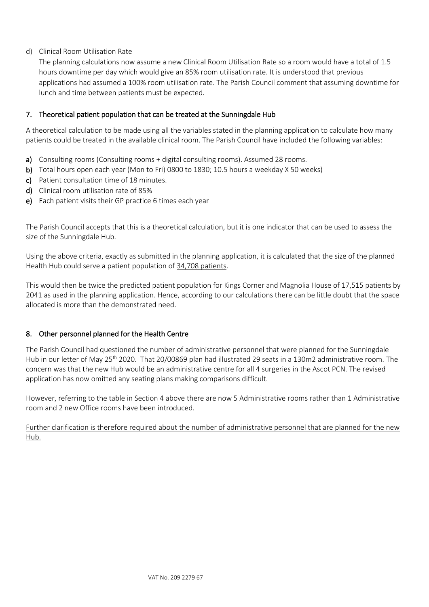d) Clinical Room Utilisation Rate

The planning calculations now assume a new Clinical Room Utilisation Rate so a room would have a total of 1.5 hours downtime per day which would give an 85% room utilisation rate. It is understood that previous applications had assumed a 100% room utilisation rate. The Parish Council comment that assuming downtime for lunch and time between patients must be expected.

## 7. Theoretical patient population that can be treated at the Sunningdale Hub

A theoretical calculation to be made using all the variables stated in the planning application to calculate how many patients could be treated in the available clinical room. The Parish Council have included the following variables:

- a) Consulting rooms (Consulting rooms + digital consulting rooms). Assumed 28 rooms.
- b) Total hours open each year (Mon to Fri) 0800 to 1830; 10.5 hours a weekday X 50 weeks)
- c) Patient consultation time of 18 minutes.
- d) Clinical room utilisation rate of 85%
- e) Each patient visits their GP practice 6 times each year

The Parish Council accepts that this is a theoretical calculation, but it is one indicator that can be used to assess the size of the Sunningdale Hub.

Using the above criteria, exactly as submitted in the planning application, it is calculated that the size of the planned Health Hub could serve a patient population of 34,708 patients.

This would then be twice the predicted patient population for Kings Corner and Magnolia House of 17,515 patients by 2041 as used in the planning application. Hence, according to our calculations there can be little doubt that the space allocated is more than the demonstrated need.

## 8. Other personnel planned for the Health Centre

The Parish Council had questioned the number of administrative personnel that were planned for the Sunningdale Hub in our letter of May 25<sup>th</sup> 2020. That 20/00869 plan had illustrated 29 seats in a 130m2 administrative room. The concern was that the new Hub would be an administrative centre for all 4 surgeries in the Ascot PCN. The revised application has now omitted any seating plans making comparisons difficult.

However, referring to the table in Section 4 above there are now 5 Administrative rooms rather than 1 Administrative room and 2 new Office rooms have been introduced.

Further clarification is therefore required about the number of administrative personnel that are planned for the new Hub.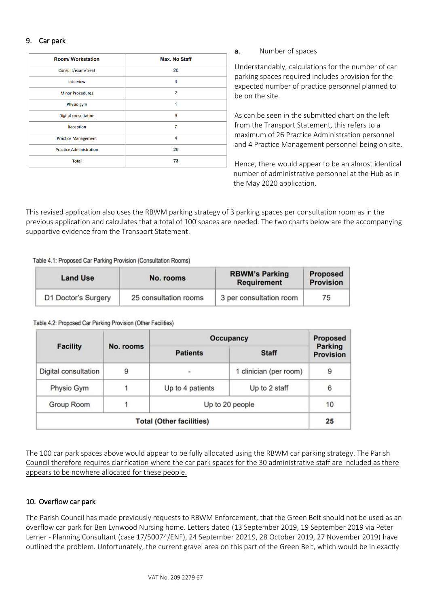### 9. Car park

| <b>Room/ Workstation</b>       | <b>Max. No Staff</b> |
|--------------------------------|----------------------|
| Consullt/exam/treat            | 20                   |
| Interview                      | 4                    |
| <b>Minor Procedures</b>        | $\overline{2}$       |
| Physio gym                     | 1                    |
| <b>Digital consultation</b>    | 9                    |
| Reception                      | 7                    |
| <b>Practice Management</b>     | 4                    |
| <b>Practice Administration</b> | 26                   |
| <b>Total</b>                   | 73                   |

a. Number of spaces

Understandably, calculations for the number of car parking spaces required includes provision for the expected number of practice personnel planned to be on the site.

As can be seen in the submitted chart on the left from the Transport Statement, this refers to a maximum of 26 Practice Administration personnel and 4 Practice Management personnel being on site.

Hence, there would appear to be an almost identical number of administrative personnel at the Hub as in the May 2020 application.

This revised application also uses the RBWM parking strategy of 3 parking spaces per consultation room as in the previous application and calculates that a total of 100 spaces are needed. The two charts below are the accompanying supportive evidence from the Transport Statement.

#### Table 4.1: Proposed Car Parking Provision (Consultation Rooms)

| <b>Land Use</b>     | No. rooms             | <b>RBWM's Parking</b><br><b>Requirement</b> | <b>Proposed</b><br><b>Provision</b> |
|---------------------|-----------------------|---------------------------------------------|-------------------------------------|
| D1 Doctor's Surgery | 25 consultation rooms | 3 per consultation room                     | 75                                  |

Table 4.2: Proposed Car Parking Provision (Other Facilities)

|                                 |           | <b>Occupancy</b> | <b>Proposed</b>        |                                    |  |
|---------------------------------|-----------|------------------|------------------------|------------------------------------|--|
| <b>Facility</b>                 | No. rooms | <b>Patients</b>  | <b>Staff</b>           | <b>Parking</b><br><b>Provision</b> |  |
| <b>Digital consultation</b>     | 9         | ٠                | 1 clinician (per room) | 9                                  |  |
| Physio Gym                      |           | Up to 4 patients | Up to 2 staff          | 6                                  |  |
| Group Room                      |           | Up to 20 people  | 10                     |                                    |  |
| <b>Total (Other facilities)</b> |           |                  | 25                     |                                    |  |

The 100 car park spaces above would appear to be fully allocated using the RBWM car parking strategy. The Parish Council therefore requires clarification where the car park spaces for the 30 administrative staff are included as there appears to be nowhere allocated for these people.

#### 10. Overflow car park

The Parish Council has made previously requests to RBWM Enforcement, that the Green Belt should not be used as an overflow car park for Ben Lynwood Nursing home. Letters dated (13 September 2019, 19 September 2019 via Peter Lerner - Planning Consultant (case 17/50074/ENF), 24 September 20219, 28 October 2019, 27 November 2019) have outlined the problem. Unfortunately, the current gravel area on this part of the Green Belt, which would be in exactly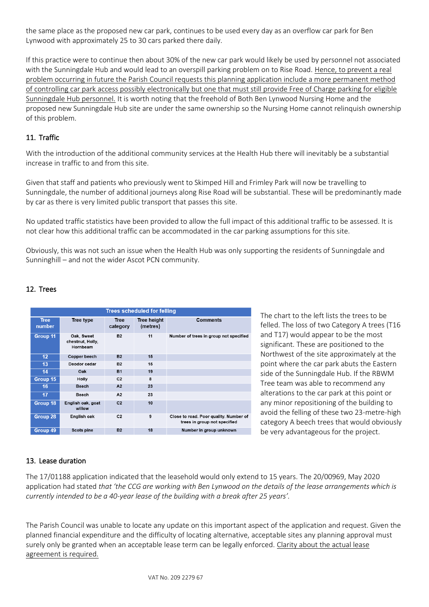the same place as the proposed new car park, continues to be used every day as an overflow car park for Ben Lynwood with approximately 25 to 30 cars parked there daily.

If this practice were to continue then about 30% of the new car park would likely be used by personnel not associated with the Sunningdale Hub and would lead to an overspill parking problem on to Rise Road. Hence, to prevent a real problem occurring in future the Parish Council requests this planning application include a more permanent method of controlling car park access possibly electronically but one that must still provide Free of Charge parking for eligible Sunningdale Hub personnel. It is worth noting that the freehold of Both Ben Lynwood Nursing Home and the proposed new Sunningdale Hub site are under the same ownership so the Nursing Home cannot relinquish ownership of this problem.

## 11. Traffic

With the introduction of the additional community services at the Health Hub there will inevitably be a substantial increase in traffic to and from this site.

Given that staff and patients who previously went to Skimped Hill and Frimley Park will now be travelling to Sunningdale, the number of additional journeys along Rise Road will be substantial. These will be predominantly made by car as there is very limited public transport that passes this site.

No updated traffic statistics have been provided to allow the full impact of this additional traffic to be assessed. It is not clear how this additional traffic can be accommodated in the car parking assumptions for this site.

Obviously, this was not such an issue when the Health Hub was only supporting the residents of Sunningdale and Sunninghill – and not the wider Ascot PCN community.

## 12. Trees

| <b>Trees scheduled for felling</b> |                                            |                         |                                |                                                                        |  |
|------------------------------------|--------------------------------------------|-------------------------|--------------------------------|------------------------------------------------------------------------|--|
| <b>Tree</b><br>number              | Tree type                                  | <b>Tree</b><br>category | <b>Tree height</b><br>(metres) | <b>Comments</b>                                                        |  |
| Group 11                           | Oak, Sweet<br>chestnut, Holly,<br>Hornbeam | <b>B2</b>               | 11                             | Number of trees in group not specified                                 |  |
| 12 <sub>2</sub>                    | Copper beech                               | <b>B2</b>               | 15                             |                                                                        |  |
| 13                                 | Deodor cedar                               | <b>B2</b>               | 15                             |                                                                        |  |
| 14                                 | Oak                                        | <b>B1</b>               | 19                             |                                                                        |  |
| Group 15                           | Holly                                      | C <sub>2</sub>          | 8                              |                                                                        |  |
| 16                                 | <b>Beech</b>                               | A <sub>2</sub>          | 23                             |                                                                        |  |
| 17                                 | Beech                                      | A2                      | 23                             |                                                                        |  |
| Group 18                           | English oak, goat<br>willow                | C <sub>2</sub>          | 10                             |                                                                        |  |
| Group 28                           | English oak                                | C <sub>2</sub>          | 9                              | Close to road. Poor quality. Number of<br>trees in group not specified |  |
| Group 49                           | Scots pine                                 | <b>B2</b>               | 18                             | Number in group unknown                                                |  |

The chart to the left lists the trees to be felled. The loss of two Category A trees (T16 and T17) would appear to be the most significant. These are positioned to the Northwest of the site approximately at the point where the car park abuts the Eastern side of the Sunningdale Hub. If the RBWM Tree team was able to recommend any alterations to the car park at this point or any minor repositioning of the building to avoid the felling of these two 23-metre-high category A beech trees that would obviously be very advantageous for the project.

# 13. Lease duration

The 17/01188 application indicated that the leasehold would only extend to 15 years. The 20/00969, May 2020 application had stated *that 'the CCG are working with Ben Lynwood on the details of the lease arrangements which is currently intended to be a 40-year lease of the building with a break after 25 years'.* 

The Parish Council was unable to locate any update on this important aspect of the application and request. Given the planned financial expenditure and the difficulty of locating alternative, acceptable sites any planning approval must surely only be granted when an acceptable lease term can be legally enforced. Clarity about the actual lease agreement is required.